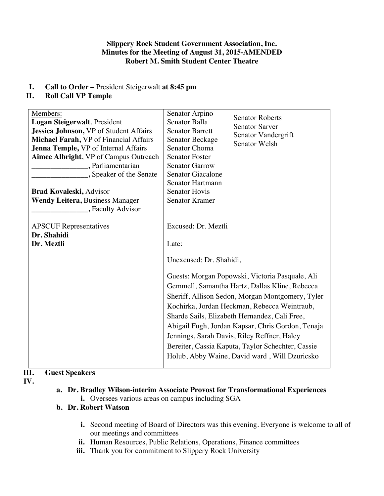#### **Slippery Rock Student Government Association, Inc. Minutes for the Meeting of August 31, 2015-AMENDED Robert M. Smith Student Center Theatre**

**I. Call to Order –** President Steigerwalt **at 8:45 pm**

### **II. Roll Call VP Temple**

| Members:                                      | Senator Arpino                                                   |
|-----------------------------------------------|------------------------------------------------------------------|
| Logan Steigerwalt, President                  | <b>Senator Roberts</b><br>Senator Balla<br><b>Senator Sarver</b> |
| <b>Jessica Johnson, VP of Student Affairs</b> | <b>Senator Barrett</b>                                           |
| Michael Farah, VP of Financial Affairs        | Senator Vandergrift<br>Senator Beckage<br>Senator Welsh          |
| Jenna Temple, VP of Internal Affairs          | <b>Senator Choma</b>                                             |
| Aimee Albright, VP of Campus Outreach         | <b>Senator Foster</b>                                            |
| , Parliamentarian                             | <b>Senator Garrow</b>                                            |
| , Speaker of the Senate                       | <b>Senator Giacalone</b>                                         |
|                                               | Senator Hartmann                                                 |
| <b>Brad Kovaleski, Advisor</b>                | <b>Senator Hovis</b>                                             |
| <b>Wendy Leitera, Business Manager</b>        | <b>Senator Kramer</b>                                            |
| , Faculty Advisor                             |                                                                  |
|                                               |                                                                  |
| <b>APSCUF</b> Representatives                 | Excused: Dr. Meztli                                              |
| Dr. Shahidi                                   |                                                                  |
| Dr. Meztli                                    | Late:                                                            |
|                                               | Unexcused: Dr. Shahidi,                                          |
|                                               |                                                                  |
|                                               | Guests: Morgan Popowski, Victoria Pasquale, Ali                  |
|                                               | Gemmell, Samantha Hartz, Dallas Kline, Rebecca                   |
|                                               | Sheriff, Allison Sedon, Morgan Montgomery, Tyler                 |
|                                               |                                                                  |
|                                               | Kochirka, Jordan Heckman, Rebecca Weintraub,                     |
|                                               | Sharde Sails, Elizabeth Hernandez, Cali Free,                    |
|                                               | Abigail Fugh, Jordan Kapsar, Chris Gordon, Tenaja                |
|                                               | Jennings, Sarah Davis, Riley Reffner, Haley                      |
|                                               | Bereiter, Cassia Kaputa, Taylor Schechter, Cassie                |
|                                               | Holub, Abby Waine, David ward, Will Dzuricsko                    |
|                                               |                                                                  |

# **III. Guest Speakers**

- **IV.**
- **a. Dr. Bradley Wilson-interim Associate Provost for Transformational Experiences**
	- **i.** Oversees various areas on campus including SGA

# **b. Dr. Robert Watson**

- **i.** Second meeting of Board of Directors was this evening. Everyone is welcome to all of our meetings and committees
- ii. Human Resources, Public Relations, Operations, Finance committees
- iii. Thank you for commitment to Slippery Rock University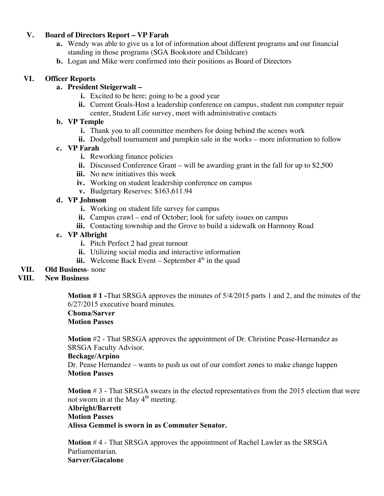#### **V. Board of Directors Report – VP Farah**

- **a.** Wendy was able to give us a lot of information about different programs and our financial standing in those programs (SGA Bookstore and Childcare)
- **b.** Logan and Mike were confirmed into their positions as Board of Directors

#### **VI. Officer Reports**

### **a. President Steigerwalt –**

- **i.** Excited to be here; going to be a good year
- **ii.** Current Goals-Host a leadership conference on campus, student run computer repair center, Student Life survey, meet with administrative contacts

### **b. VP Temple**

- **i.** Thank you to all committee members for doing behind the scenes work
- **ii.** Dodgeball tournament and pumpkin sale in the works more information to follow

# **c. VP Farah**

- **i.** Reworking finance policies
- **ii.** Discussed Conference Grant will be awarding grant in the fall for up to \$2,500
- **iii.** No new initiatives this week
- **iv.** Working on student leadership conference on campus
- **v.** Budgetary Reserves: \$163,611.94

# **d. VP Johnson**

- **i.** Working on student life survey for campus
- **ii.** Campus crawl end of October; look for safety issues on campus
- **iii.** Contacting township and the Grove to build a sidewalk on Harmony Road

# **e. VP Albright**

- **i.** Pitch Perfect 2 had great turnout
- **ii.** Utilizing social media and interactive information
- **iii.** Welcome Back Event September  $4<sup>th</sup>$  in the quad
- **VII. Old Business** none

# **VIII. New Business**

**Motion # 1 -**That SRSGA approves the minutes of 5/4/2015 parts 1 and 2, and the minutes of the 6/27/2015 executive board minutes.

#### **Choma/Sarver Motion Passes**

**Motion** #2 - That SRSGA approves the appointment of Dr. Christine Pease-Hernandez as SRSGA Faculty Advisor.

#### **Beckage/Arpino**

Dr. Pease Hernandez – wants to push us out of our comfort zones to make change happen **Motion Passes**

**Motion** # 3 - That SRSGA swears in the elected representatives from the 2015 election that were not sworn in at the May 4<sup>th</sup> meeting. **Albright/Barrett Motion Passes Alissa Gemmel is sworn in as Commuter Senator.**

**Motion** # 4 - That SRSGA approves the appointment of Rachel Lawler as the SRSGA Parliamentarian. **Sarver/Giacalone**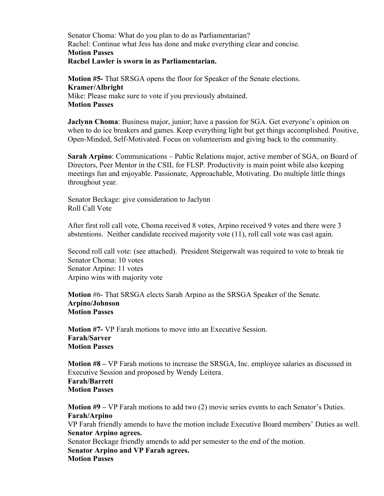Senator Choma: What do you plan to do as Parliamentarian? Rachel: Continue what Jess has done and make everything clear and concise. **Motion Passes Rachel Lawler is sworn in as Parliamentarian.**

**Motion #5-** That SRSGA opens the floor for Speaker of the Senate elections. **Kramer/Albright** Mike: Please make sure to vote if you previously abstained. **Motion Passes**

**Jaclynn Choma**: Business major, junior; have a passion for SGA. Get everyone's opinion on when to do ice breakers and games. Keep everything light but get things accomplished. Positive, Open-Minded, Self-Motivated. Focus on volunteerism and giving back to the community.

**Sarah Arpino**: Communications – Public Relations major, active member of SGA, on Board of Directors, Peer Mentor in the CSIL for FLSP. Productivity is main point while also keeping meetings fun and enjoyable. Passionate, Approachable, Motivating. Do multiple little things throughout year.

Senator Beckage: give consideration to Jaclynn Roll Call Vote

After first roll call vote, Choma received 8 votes, Arpino received 9 votes and there were 3 abstentions. Neither candidate received majority vote (11), roll call vote was cast again.

Second roll call vote: (see attached). President Steigerwalt was required to vote to break tie Senator Choma: 10 votes Senator Arpino: 11 votes Arpino wins with majority vote

**Motion** #6- That SRSGA elects Sarah Arpino as the SRSGA Speaker of the Senate. **Arpino/Johnson Motion Passes**

**Motion #7-** VP Farah motions to move into an Executive Session. **Farah/Sarver Motion Passes**

**Motion #8 –** VP Farah motions to increase the SRSGA, Inc. employee salaries as discussed in Executive Session and proposed by Wendy Leitera.

**Farah/Barrett Motion Passes**

**Motion #9 –** VP Farah motions to add two (2) movie series events to each Senator's Duties. **Farah/Arpino** VP Farah friendly amends to have the motion include Executive Board members' Duties as well. **Senator Arpino agrees.**  Senator Beckage friendly amends to add per semester to the end of the motion. **Senator Arpino and VP Farah agrees. Motion Passes**